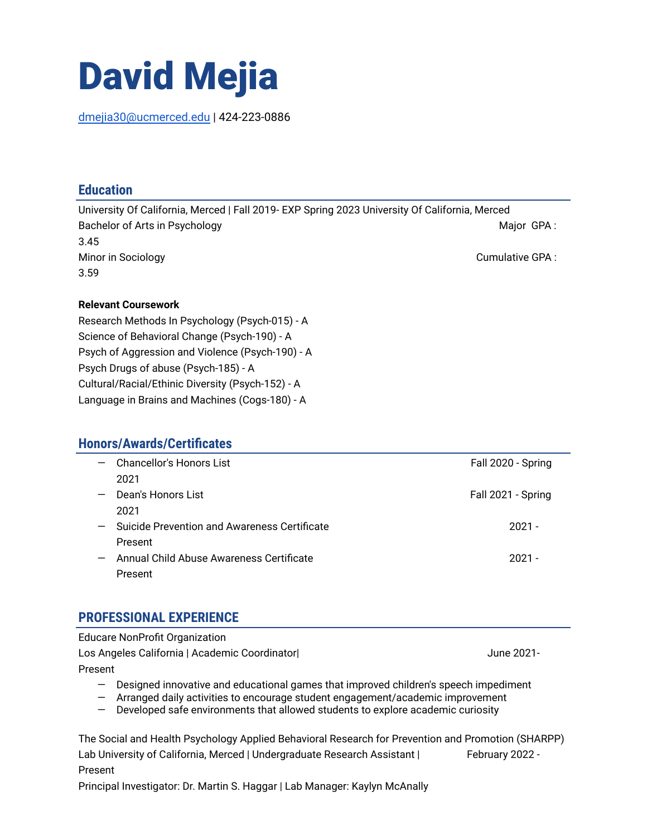# David Mejia

[dmejia30@ucmerced.edu](mailto:dmejia30@ucmerced.edu) | 424-223-0886

### **Education**

University Of California, Merced | Fall 2019- EXP Spring 2023 University Of California, Merced Bachelor of Arts in Psychology Major GPA : New York Changes and Major GPA : New York Changes and Major GPA : New York Changes and Major GPA : New York Changes and Major GPA : New York Changes and Major GPA : New York Chang 3.45 Minor in Sociology **Cumulative GPA** :  $\blacksquare$ 3.59

#### **Relevant Coursework**

Research Methods In Psychology (Psych-015) - A Science of Behavioral Change (Psych-190) - A Psych of Aggression and Violence (Psych-190) - A Psych Drugs of abuse (Psych-185) - A Cultural/Racial/Ethinic Diversity (Psych-152) - A Language in Brains and Machines (Cogs-180) - A

#### **Honors/Awards/Certificates**

| $-$                      | Chancellor's Honors List                     | Fall 2020 - Spring |
|--------------------------|----------------------------------------------|--------------------|
|                          | 2021                                         |                    |
| $\overline{\phantom{0}}$ | Dean's Honors List                           | Fall 2021 - Spring |
|                          | 2021                                         |                    |
| $-$                      | Suicide Prevention and Awareness Certificate | $2021 -$           |
|                          | Present                                      |                    |
|                          | Annual Child Abuse Awareness Certificate     | $2021 -$           |
|                          | Present                                      |                    |

#### **PROFESSIONAL EXPERIENCE**

Educare NonProfit Organization Los Angeles California | Academic Coordinator| June 2021-Present — Designed innovative and educational games that improved children's speech impediment

— Arranged daily activities to encourage student engagement/academic improvement — Developed safe environments that allowed students to explore academic curiosity

The Social and Health Psychology Applied Behavioral Research for Prevention and Promotion (SHARPP) Lab University of California, Merced | Undergraduate Research Assistant | February 2022 -Present

Principal Investigator: Dr. Martin S. Haggar | Lab Manager: Kaylyn McAnally